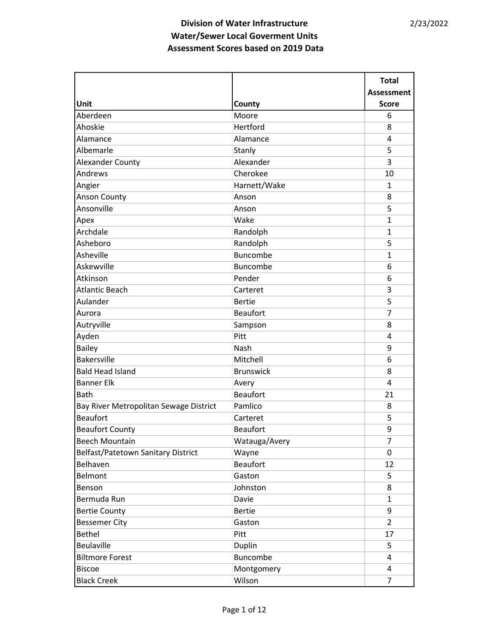|                                        |                  | <b>Total</b>      |
|----------------------------------------|------------------|-------------------|
|                                        |                  | <b>Assessment</b> |
| Unit                                   | County           | <b>Score</b>      |
| Aberdeen                               | Moore            | 6                 |
| Ahoskie                                | Hertford         | 8                 |
| Alamance                               | Alamance         | 4                 |
| Albemarle                              | Stanly           | 5                 |
| <b>Alexander County</b>                | Alexander        | 3                 |
| Andrews                                | Cherokee         | 10                |
| Angier                                 | Harnett/Wake     | $\mathbf{1}$      |
| <b>Anson County</b>                    | Anson            | 8                 |
| Ansonville                             | Anson            | 5                 |
| Apex                                   | Wake             | $\mathbf{1}$      |
| Archdale                               | Randolph         | 1                 |
| Asheboro                               | Randolph         | 5                 |
| Asheville                              | <b>Buncombe</b>  | $\mathbf{1}$      |
| Askewville                             | Buncombe         | 6                 |
| Atkinson                               | Pender           | 6                 |
| <b>Atlantic Beach</b>                  | Carteret         | 3                 |
| Aulander                               | <b>Bertie</b>    | 5                 |
| Aurora                                 | <b>Beaufort</b>  | $\overline{7}$    |
| Autryville                             | Sampson          | 8                 |
| Ayden                                  | Pitt             | 4                 |
| <b>Bailey</b>                          | Nash             | 9                 |
| <b>Bakersville</b>                     | Mitchell         | 6                 |
| <b>Bald Head Island</b>                | <b>Brunswick</b> | 8                 |
| <b>Banner Elk</b>                      | Avery            | 4                 |
| Bath                                   | <b>Beaufort</b>  | 21                |
| Bay River Metropolitan Sewage District | Pamlico          | 8                 |
| <b>Beaufort</b>                        | Carteret         | 5                 |
| <b>Beaufort County</b>                 | <b>Beaufort</b>  | 9                 |
| <b>Beech Mountain</b>                  | Watauga/Avery    | $\overline{7}$    |
| Belfast/Patetown Sanitary District     | Wayne            | 0                 |
| Belhaven                               | <b>Beaufort</b>  | 12                |
| Belmont                                | Gaston           | 5                 |
| Benson                                 | Johnston         | 8                 |
| Bermuda Run                            | Davie            | $\mathbf{1}$      |
| <b>Bertie County</b>                   | <b>Bertie</b>    | 9                 |
| <b>Bessemer City</b>                   | Gaston           | $\overline{2}$    |
| <b>Bethel</b>                          | Pitt             | 17                |
| Beulaville                             | Duplin           | 5                 |
| <b>Biltmore Forest</b>                 | Buncombe         | 4                 |
| <b>Biscoe</b>                          | Montgomery       | 4                 |
| <b>Black Creek</b>                     | Wilson           | $\overline{7}$    |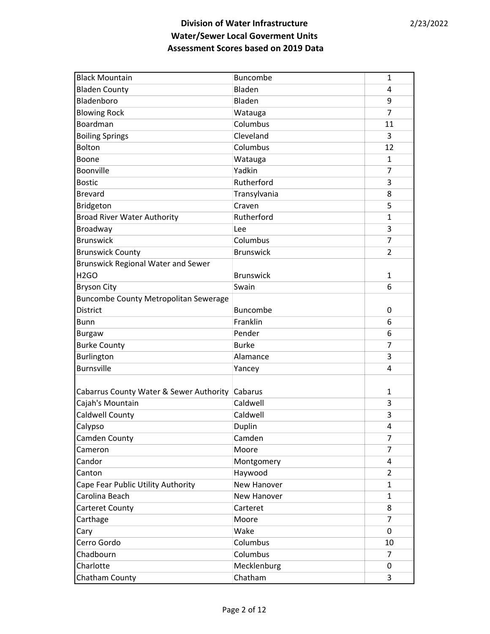| <b>Black Mountain</b>                        | Buncombe         | 1              |
|----------------------------------------------|------------------|----------------|
| <b>Bladen County</b>                         | Bladen           | 4              |
| Bladenboro                                   | Bladen           | 9              |
| <b>Blowing Rock</b>                          | Watauga          | 7              |
| Boardman                                     | Columbus         | 11             |
| <b>Boiling Springs</b>                       | Cleveland        | 3              |
| <b>Bolton</b>                                | Columbus         | 12             |
| Boone                                        | Watauga          | 1              |
| Boonville                                    | Yadkin           | 7              |
| <b>Bostic</b>                                | Rutherford       | 3              |
| <b>Brevard</b>                               | Transylvania     | 8              |
| Bridgeton                                    | Craven           | 5              |
| <b>Broad River Water Authority</b>           | Rutherford       | 1              |
| Broadway                                     | Lee              | 3              |
| <b>Brunswick</b>                             | Columbus         | 7              |
| <b>Brunswick County</b>                      | <b>Brunswick</b> | $\overline{2}$ |
| <b>Brunswick Regional Water and Sewer</b>    |                  |                |
| H <sub>2GO</sub>                             | <b>Brunswick</b> | 1              |
| <b>Bryson City</b>                           | Swain            | 6              |
| <b>Buncombe County Metropolitan Sewerage</b> |                  |                |
| <b>District</b>                              | Buncombe         | 0              |
| <b>Bunn</b>                                  | Franklin         | 6              |
| <b>Burgaw</b>                                | Pender           | 6              |
| <b>Burke County</b>                          | <b>Burke</b>     | 7              |
| Burlington                                   | Alamance         | 3              |
| <b>Burnsville</b>                            | Yancey           | 4              |
|                                              |                  |                |
| Cabarrus County Water & Sewer Authority      | Cabarus          | 1              |
| Cajah's Mountain                             | Caldwell         | 3              |
| Caldwell County                              | Caldwell         | 3              |
| Calypso                                      | Duplin           | 4              |
| Camden County                                | Camden           | 7              |
| Cameron                                      | Moore            | 7              |
| Candor                                       | Montgomery       | 4              |
| Canton                                       | Haywood          | 2              |
| Cape Fear Public Utility Authority           | New Hanover      | 1              |
| Carolina Beach                               | New Hanover      | 1              |
| Carteret County                              | Carteret         | 8              |
| Carthage                                     | Moore            | 7              |
| Cary                                         | Wake             | 0              |
| Cerro Gordo                                  | Columbus         | 10             |
| Chadbourn                                    | Columbus         | 7              |
| Charlotte                                    | Mecklenburg      | 0              |
| Chatham County                               | Chatham          | 3              |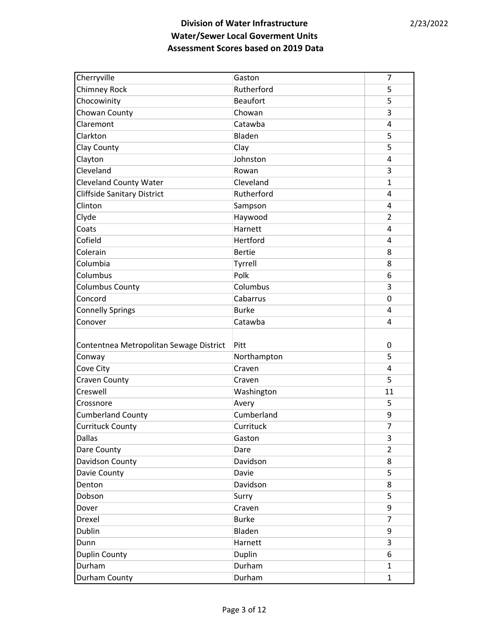| Cherryville                             | Gaston          | 7              |
|-----------------------------------------|-----------------|----------------|
| Chimney Rock                            | Rutherford      | 5              |
| Chocowinity                             | <b>Beaufort</b> | 5              |
| Chowan County                           | Chowan          | 3              |
| Claremont                               | Catawba         | 4              |
| Clarkton                                | Bladen          | 5              |
| Clay County                             | Clay            | 5              |
| Clayton                                 | Johnston        | 4              |
| Cleveland                               | Rowan           | 3              |
| <b>Cleveland County Water</b>           | Cleveland       | $\mathbf{1}$   |
| <b>Cliffside Sanitary District</b>      | Rutherford      | 4              |
| Clinton                                 | Sampson         | 4              |
| Clyde                                   | Haywood         | 2              |
| Coats                                   | Harnett         | 4              |
| Cofield                                 | Hertford        | 4              |
| Colerain                                | <b>Bertie</b>   | 8              |
| Columbia                                | Tyrrell         | 8              |
| Columbus                                | Polk            | 6              |
| <b>Columbus County</b>                  | Columbus        | 3              |
| Concord                                 | Cabarrus        | 0              |
| <b>Connelly Springs</b>                 | <b>Burke</b>    | 4              |
| Conover                                 | Catawba         | 4              |
|                                         |                 |                |
| Contentnea Metropolitan Sewage District | Pitt            | 0              |
| Conway                                  | Northampton     | 5              |
| Cove City                               | Craven          | 4              |
| Craven County                           | Craven          | 5              |
| Creswell                                | Washington      | 11             |
| Crossnore                               | Avery           | 5              |
| <b>Cumberland County</b>                | Cumberland      | 9              |
| <b>Currituck County</b>                 | Currituck       | $\overline{7}$ |
| <b>Dallas</b>                           | Gaston          | 3              |
| Dare County                             | Dare            | $\overline{2}$ |
| Davidson County                         | Davidson        | 8              |
| Davie County                            | Davie           | 5              |
| Denton                                  | Davidson        | 8              |
| Dobson                                  | Surry           | 5              |
| Dover                                   | Craven          | 9              |
| Drexel                                  | <b>Burke</b>    | $\overline{7}$ |
| Dublin                                  | Bladen          | 9              |
| Dunn                                    | Harnett         | 3              |
| <b>Duplin County</b>                    | Duplin          | 6              |
|                                         |                 |                |
| Durham                                  | Durham          | $\mathbf{1}$   |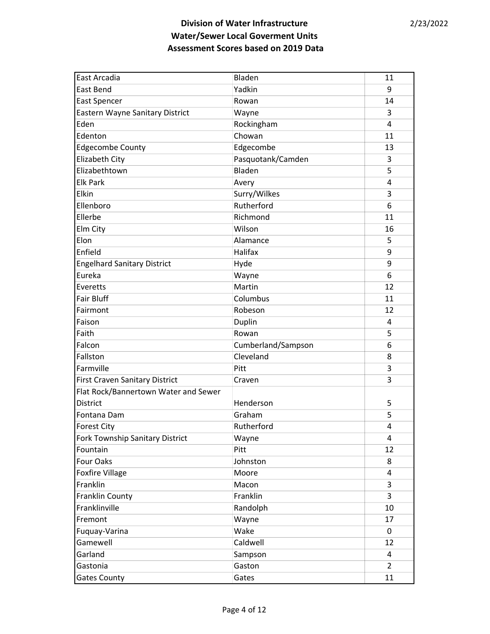| East Arcadia                         | Bladen             | 11             |
|--------------------------------------|--------------------|----------------|
| <b>East Bend</b>                     | Yadkin             | 9              |
| <b>East Spencer</b>                  | Rowan              | 14             |
| Eastern Wayne Sanitary District      | Wayne              | 3              |
| Eden                                 | Rockingham         | 4              |
| Edenton                              | Chowan             | 11             |
| Edgecombe County                     | Edgecombe          | 13             |
| <b>Elizabeth City</b>                | Pasquotank/Camden  | 3              |
| Elizabethtown                        | Bladen             | 5              |
| <b>Elk Park</b>                      | Avery              | 4              |
| Elkin                                | Surry/Wilkes       | 3              |
| Ellenboro                            | Rutherford         | 6              |
| Ellerbe                              | Richmond           | 11             |
| Elm City                             | Wilson             | 16             |
| Elon                                 | Alamance           | 5              |
| Enfield                              | <b>Halifax</b>     | 9              |
| <b>Engelhard Sanitary District</b>   | Hyde               | 9              |
| Eureka                               | Wayne              | 6              |
| Everetts                             | Martin             | 12             |
| <b>Fair Bluff</b>                    | Columbus           | 11             |
| Fairmont                             | Robeson            | 12             |
| Faison                               | Duplin             | 4              |
| Faith                                | Rowan              | 5              |
| Falcon                               | Cumberland/Sampson | 6              |
| Fallston                             | Cleveland          | 8              |
| Farmville                            | Pitt               | 3              |
| First Craven Sanitary District       | Craven             | 3              |
| Flat Rock/Bannertown Water and Sewer |                    |                |
| <b>District</b>                      | Henderson          | 5              |
| Fontana Dam                          | Graham             | 5              |
| <b>Forest City</b>                   | Rutherford         | 4              |
| Fork Township Sanitary District      | Wayne              | 4              |
| Fountain                             | Pitt               | 12             |
| <b>Four Oaks</b>                     | Johnston           | 8              |
| <b>Foxfire Village</b>               | Moore              | 4              |
| Franklin                             | Macon              | 3              |
| <b>Franklin County</b>               | Franklin           | 3              |
| Franklinville                        | Randolph           | 10             |
| Fremont                              | Wayne              | 17             |
| Fuquay-Varina                        | Wake               | 0              |
| Gamewell                             | Caldwell           | 12             |
| Garland                              | Sampson            | 4              |
| Gastonia                             | Gaston             | $\overline{2}$ |
| <b>Gates County</b>                  | Gates              | 11             |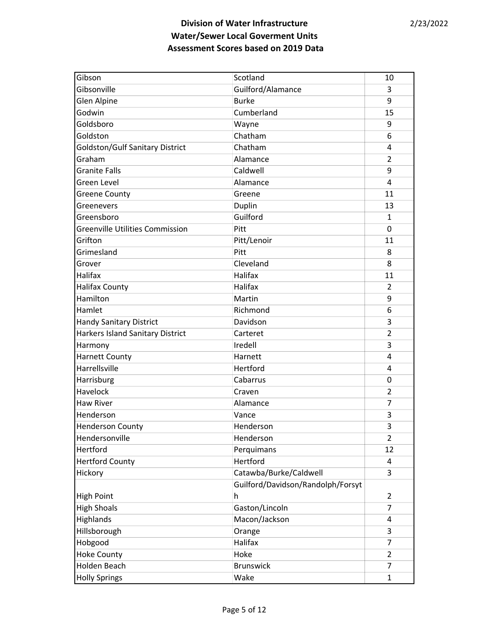| Gibson                                  | Scotland                          | 10             |
|-----------------------------------------|-----------------------------------|----------------|
| Gibsonville                             | Guilford/Alamance                 | 3              |
| Glen Alpine                             | <b>Burke</b>                      | 9              |
| Godwin                                  | Cumberland                        | 15             |
| Goldsboro                               | Wayne                             | 9              |
| Goldston                                | Chatham                           | 6              |
| Goldston/Gulf Sanitary District         | Chatham                           | 4              |
| Graham                                  | Alamance                          | 2              |
| <b>Granite Falls</b>                    | Caldwell                          | 9              |
| Green Level                             | Alamance                          | 4              |
| <b>Greene County</b>                    | Greene                            | 11             |
| Greenevers                              | Duplin                            | 13             |
| Greensboro                              | Guilford                          | 1              |
| <b>Greenville Utilities Commission</b>  | Pitt                              | 0              |
| Grifton                                 | Pitt/Lenoir                       | 11             |
| Grimesland                              | Pitt                              | 8              |
| Grover                                  | Cleveland                         | 8              |
| <b>Halifax</b>                          | Halifax                           | 11             |
| <b>Halifax County</b>                   | <b>Halifax</b>                    | $\overline{2}$ |
| Hamilton                                | Martin                            | 9              |
| Hamlet                                  | Richmond                          | 6              |
| <b>Handy Sanitary District</b>          | Davidson                          | 3              |
| <b>Harkers Island Sanitary District</b> | Carteret                          | $\overline{2}$ |
| Harmony                                 | Iredell                           | 3              |
| <b>Harnett County</b>                   | Harnett                           | 4              |
| Harrellsville                           | Hertford                          | 4              |
| Harrisburg                              | Cabarrus                          | 0              |
| Havelock                                | Craven                            | $\overline{2}$ |
| <b>Haw River</b>                        | Alamance                          | 7              |
| Henderson                               | Vance                             | 3              |
| <b>Henderson County</b>                 | Henderson                         | 3              |
| Hendersonville                          | Henderson                         | $\overline{2}$ |
| Hertford                                | Perquimans                        | 12             |
| <b>Hertford County</b>                  | Hertford                          | 4              |
| Hickory                                 | Catawba/Burke/Caldwell            | 3              |
|                                         | Guilford/Davidson/Randolph/Forsyt |                |
| <b>High Point</b>                       | h                                 | 2              |
| <b>High Shoals</b>                      | Gaston/Lincoln                    | $\overline{7}$ |
| Highlands                               | Macon/Jackson                     | 4              |
| Hillsborough                            | Orange                            | 3              |
| Hobgood                                 | Halifax                           | 7              |
| <b>Hoke County</b>                      | Hoke                              | 2              |
| Holden Beach                            | <b>Brunswick</b>                  | $\overline{7}$ |
| <b>Holly Springs</b>                    | Wake                              | 1              |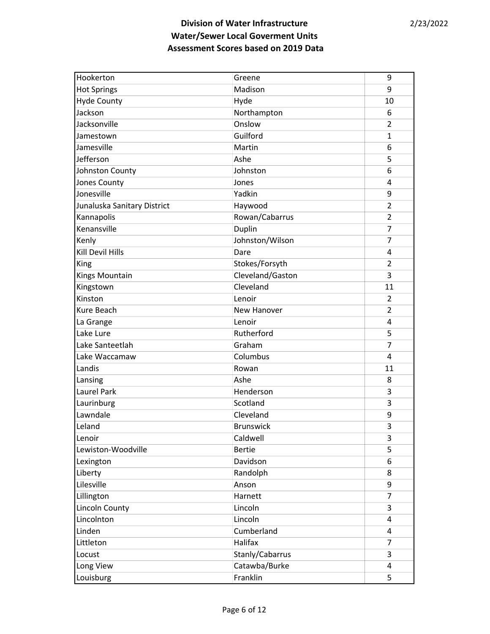| Hookerton                   | Greene           | 9              |
|-----------------------------|------------------|----------------|
| <b>Hot Springs</b>          | Madison          | 9              |
| <b>Hyde County</b>          | Hyde             | 10             |
| Jackson                     | Northampton      | 6              |
| Jacksonville                | Onslow           | $\overline{2}$ |
| Jamestown                   | Guilford         | 1              |
| Jamesville                  | Martin           | 6              |
| Jefferson                   | Ashe             | 5              |
| Johnston County             | Johnston         | 6              |
| Jones County                | Jones            | $\overline{4}$ |
| Jonesville                  | Yadkin           | 9              |
| Junaluska Sanitary District | Haywood          | $\overline{2}$ |
| Kannapolis                  | Rowan/Cabarrus   | 2              |
| Kenansville                 | Duplin           | $\overline{7}$ |
| Kenly                       | Johnston/Wilson  | 7              |
| <b>Kill Devil Hills</b>     | Dare             | 4              |
| King                        | Stokes/Forsyth   | $\overline{2}$ |
| Kings Mountain              | Cleveland/Gaston | 3              |
| Kingstown                   | Cleveland        | 11             |
| Kinston                     | Lenoir           | 2              |
| Kure Beach                  | New Hanover      | $\overline{2}$ |
| La Grange                   | Lenoir           | $\overline{4}$ |
| Lake Lure                   | Rutherford       | 5              |
| Lake Santeetlah             | Graham           | $\overline{7}$ |
| Lake Waccamaw               | Columbus         | 4              |
| Landis                      | Rowan            | 11             |
| Lansing                     | Ashe             | 8              |
| Laurel Park                 | Henderson        | 3              |
| Laurinburg                  | Scotland         | 3              |
| Lawndale                    | Cleveland        | 9              |
| Leland                      | <b>Brunswick</b> | 3              |
| Lenoir                      | Caldwell         | 3              |
| Lewiston-Woodville          | <b>Bertie</b>    | 5              |
| Lexington                   | Davidson         | 6              |
| Liberty                     | Randolph         | 8              |
| Lilesville                  | Anson            | 9              |
| Lillington                  | Harnett          | 7              |
| <b>Lincoln County</b>       | Lincoln          | 3              |
| Lincolnton                  | Lincoln          | 4              |
| Linden                      | Cumberland       | 4              |
| Littleton                   | Halifax          | $\overline{7}$ |
| Locust                      | Stanly/Cabarrus  | 3              |
| Long View                   | Catawba/Burke    | 4              |
| Louisburg                   | Franklin         | 5              |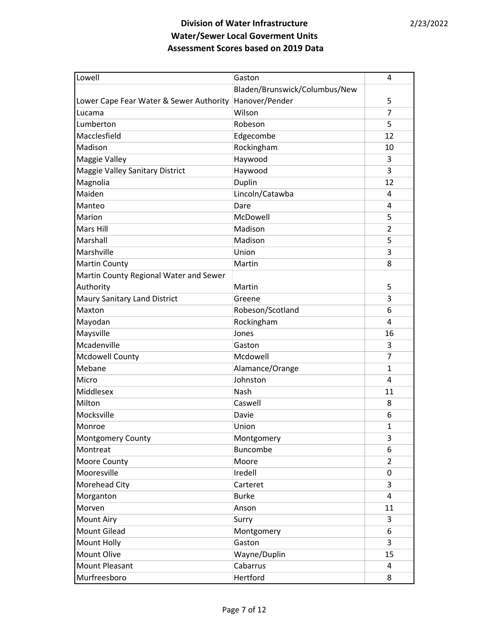| Lowell                                  | Gaston                        | 4              |
|-----------------------------------------|-------------------------------|----------------|
|                                         | Bladen/Brunswick/Columbus/New |                |
| Lower Cape Fear Water & Sewer Authority | Hanover/Pender                | 5              |
| Lucama                                  | Wilson                        | $\overline{7}$ |
| Lumberton                               | Robeson                       | 5              |
| Macclesfield                            | Edgecombe                     | 12             |
| Madison                                 | Rockingham                    | 10             |
| <b>Maggie Valley</b>                    | Haywood                       | 3              |
| Maggie Valley Sanitary District         | Haywood                       | 3              |
| Magnolia                                | Duplin                        | 12             |
| Maiden                                  | Lincoln/Catawba               | 4              |
| Manteo                                  | Dare                          | 4              |
| Marion                                  | McDowell                      | 5              |
| Mars Hill                               | Madison                       | $\overline{2}$ |
| Marshall                                | Madison                       | 5              |
| Marshville                              | Union                         | 3              |
| <b>Martin County</b>                    | Martin                        | 8              |
| Martin County Regional Water and Sewer  |                               |                |
| Authority                               | Martin                        | 5              |
| Maury Sanitary Land District            | Greene                        | 3              |
| Maxton                                  | Robeson/Scotland              | 6              |
| Mayodan                                 | Rockingham                    | 4              |
| Maysville                               | Jones                         | 16             |
| Mcadenville                             | Gaston                        | 3              |
| <b>Mcdowell County</b>                  | Mcdowell                      | $\overline{7}$ |
| Mebane                                  | Alamance/Orange               | $\mathbf{1}$   |
| Micro                                   | Johnston                      | 4              |
| Middlesex                               | Nash                          | 11             |
| Milton                                  | Caswell                       | 8              |
| Mocksville                              | Davie                         | 6              |
| Monroe                                  | Union                         | 1              |
| Montgomery County                       | Montgomery                    | 3              |
| Montreat                                | Buncombe                      | 6              |
| Moore County                            | Moore                         | $\overline{2}$ |
| Mooresville                             | Iredell                       | 0              |
| Morehead City                           | Carteret                      | 3              |
| Morganton                               | <b>Burke</b>                  | 4              |
| Morven                                  | Anson                         | 11             |
| <b>Mount Airy</b>                       | Surry                         | 3              |
| Mount Gilead                            | Montgomery                    | 6              |
| Mount Holly                             | Gaston                        | 3              |
| Mount Olive                             | Wayne/Duplin                  | 15             |
| Mount Pleasant                          | Cabarrus                      | 4              |
| Murfreesboro                            | Hertford                      | 8              |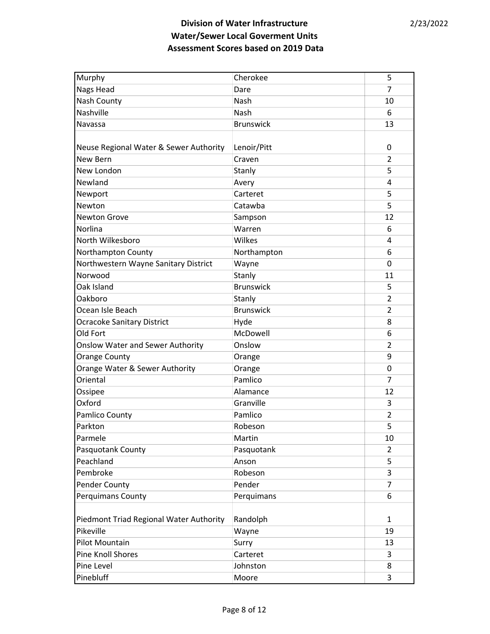| Murphy                                  | Cherokee         | 5              |
|-----------------------------------------|------------------|----------------|
| Nags Head                               | Dare             | 7              |
| Nash County                             | Nash             | 10             |
| Nashville                               | Nash             | 6              |
| Navassa                                 | <b>Brunswick</b> | 13             |
|                                         |                  |                |
| Neuse Regional Water & Sewer Authority  | Lenoir/Pitt      | 0              |
| New Bern                                | Craven           | 2              |
| New London                              | Stanly           | 5              |
| Newland                                 | Avery            | 4              |
| Newport                                 | Carteret         | 5              |
| Newton                                  | Catawba          | 5              |
| <b>Newton Grove</b>                     | Sampson          | 12             |
| Norlina                                 | Warren           | 6              |
| North Wilkesboro                        | Wilkes           | 4              |
| Northampton County                      | Northampton      | 6              |
| Northwestern Wayne Sanitary District    | Wayne            | 0              |
| Norwood                                 | Stanly           | 11             |
| Oak Island                              | <b>Brunswick</b> | 5              |
| Oakboro                                 | Stanly           | 2              |
| Ocean Isle Beach                        | <b>Brunswick</b> | 2              |
| <b>Ocracoke Sanitary District</b>       | Hyde             | 8              |
| Old Fort                                | McDowell         | 6              |
| <b>Onslow Water and Sewer Authority</b> | Onslow           | $\overline{2}$ |
| <b>Orange County</b>                    | Orange           | 9              |
| Orange Water & Sewer Authority          | Orange           | 0              |
| Oriental                                | Pamlico          | 7              |
| Ossipee                                 | Alamance         | 12             |
| Oxford                                  | Granville        | 3              |
| Pamlico County                          | Pamlico          | 2              |
| Parkton                                 | Robeson          | 5              |
| Parmele                                 | Martin           | 10             |
| Pasquotank County                       | Pasquotank       | 2              |
| Peachland                               | Anson            | 5              |
| Pembroke                                | Robeson          | 3              |
| <b>Pender County</b>                    | Pender           | 7              |
| Perquimans County                       | Perquimans       | 6              |
|                                         |                  |                |
| Piedmont Triad Regional Water Authority | Randolph         | 1              |
| Pikeville                               | Wayne            | 19             |
| Pilot Mountain                          | Surry            | 13             |
| Pine Knoll Shores                       | Carteret         | 3              |
| Pine Level                              | Johnston         | 8              |
| Pinebluff                               | Moore            | 3              |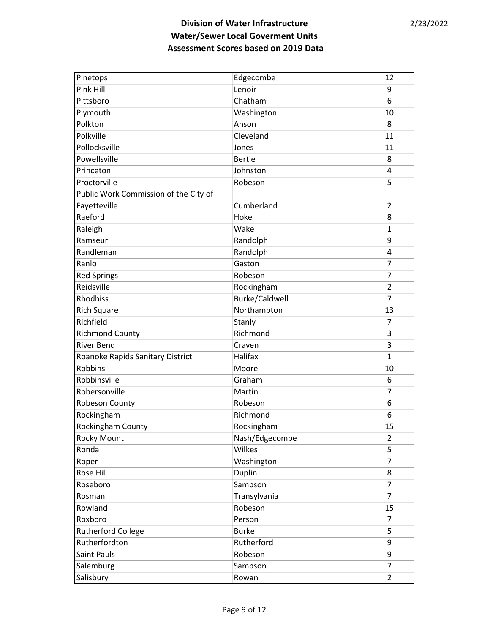| Pinetops                              | Edgecombe      | 12             |
|---------------------------------------|----------------|----------------|
| Pink Hill                             | Lenoir         | 9              |
| Pittsboro                             | Chatham        | 6              |
| Plymouth                              | Washington     | 10             |
| Polkton                               | Anson          | 8              |
| Polkville                             | Cleveland      | 11             |
| Pollocksville                         | Jones          | 11             |
| Powellsville                          | <b>Bertie</b>  | 8              |
| Princeton                             | Johnston       | 4              |
| Proctorville                          | Robeson        | 5              |
| Public Work Commission of the City of |                |                |
| Fayetteville                          | Cumberland     | 2              |
| Raeford                               | Hoke           | 8              |
| Raleigh                               | Wake           | 1              |
| Ramseur                               | Randolph       | 9              |
| Randleman                             | Randolph       | 4              |
| Ranlo                                 | Gaston         | $\overline{7}$ |
| <b>Red Springs</b>                    | Robeson        | 7              |
| Reidsville                            | Rockingham     | $\overline{2}$ |
| <b>Rhodhiss</b>                       | Burke/Caldwell | 7              |
| Rich Square                           | Northampton    | 13             |
| Richfield                             | Stanly         | $\overline{7}$ |
| <b>Richmond County</b>                | Richmond       | 3              |
| <b>River Bend</b>                     | Craven         | 3              |
| Roanoke Rapids Sanitary District      | Halifax        | 1              |
| <b>Robbins</b>                        | Moore          | 10             |
| Robbinsville                          | Graham         | 6              |
| Robersonville                         | Martin         | $\overline{7}$ |
| Robeson County                        | Robeson        | 6              |
| Rockingham                            | Richmond       | 6              |
| Rockingham County                     | Rockingham     | 15             |
| Rocky Mount                           | Nash/Edgecombe | 2              |
| Ronda                                 | Wilkes         | 5              |
| Roper                                 | Washington     | 7              |
| Rose Hill                             | Duplin         | 8              |
| Roseboro                              | Sampson        | $\overline{7}$ |
| Rosman                                | Transylvania   | 7              |
| Rowland                               | Robeson        | 15             |
| Roxboro                               | Person         | 7              |
| <b>Rutherford College</b>             | <b>Burke</b>   | 5              |
| Rutherfordton                         | Rutherford     | 9              |
| Saint Pauls                           | Robeson        | 9              |
| Salemburg                             | Sampson        | $\overline{7}$ |
| Salisbury                             | Rowan          | 2              |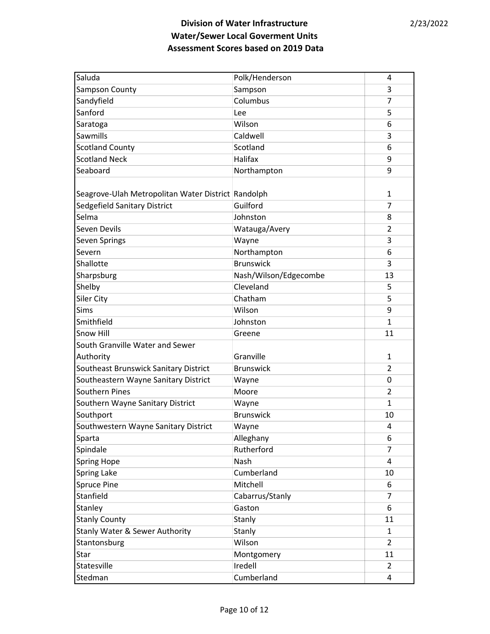| Saluda                                             | Polk/Henderson        | 4              |
|----------------------------------------------------|-----------------------|----------------|
| Sampson County                                     | Sampson               | 3              |
| Sandyfield                                         | Columbus              | 7              |
| Sanford                                            | Lee                   | 5              |
| Saratoga                                           | Wilson                | 6              |
| Sawmills                                           | Caldwell              | 3              |
| <b>Scotland County</b>                             | Scotland              | 6              |
| <b>Scotland Neck</b>                               | Halifax               | 9              |
| Seaboard                                           | Northampton           | 9              |
|                                                    |                       |                |
| Seagrove-Ulah Metropolitan Water District Randolph |                       | 1              |
| Sedgefield Sanitary District                       | Guilford              | $\overline{7}$ |
| Selma                                              | Johnston              | 8              |
| Seven Devils                                       | Watauga/Avery         | $\overline{2}$ |
| Seven Springs                                      | Wayne                 | 3              |
| Severn                                             | Northampton           | 6              |
| Shallotte                                          | <b>Brunswick</b>      | 3              |
| Sharpsburg                                         | Nash/Wilson/Edgecombe | 13             |
| Shelby                                             | Cleveland             | 5              |
| Siler City                                         | Chatham               | 5              |
| Sims                                               | Wilson                | 9              |
| Smithfield                                         | Johnston              | 1              |
| Snow Hill                                          | Greene                | 11             |
| South Granville Water and Sewer                    |                       |                |
| Authority                                          | Granville             | 1              |
| Southeast Brunswick Sanitary District              | <b>Brunswick</b>      | $\overline{2}$ |
| Southeastern Wayne Sanitary District               | Wayne                 | 0              |
| Southern Pines                                     | Moore                 | $\overline{2}$ |
| Southern Wayne Sanitary District                   | Wayne                 | 1              |
| Southport                                          | <b>Brunswick</b>      | 10             |
| Southwestern Wayne Sanitary District               | Wayne                 | 4              |
| Sparta                                             | Alleghany             | 6              |
| Spindale                                           | Rutherford            | $\overline{7}$ |
| <b>Spring Hope</b>                                 | Nash                  | 4              |
| Spring Lake                                        | Cumberland            | 10             |
| <b>Spruce Pine</b>                                 | Mitchell              | 6              |
| Stanfield                                          | Cabarrus/Stanly       | 7              |
| Stanley                                            | Gaston                | 6              |
| <b>Stanly County</b>                               | Stanly                | 11             |
| Stanly Water & Sewer Authority                     | Stanly                | 1              |
| Stantonsburg                                       | Wilson                | $\overline{2}$ |
| Star                                               | Montgomery            | 11             |
| Statesville                                        | Iredell               | $\overline{2}$ |
| Stedman                                            | Cumberland            | 4              |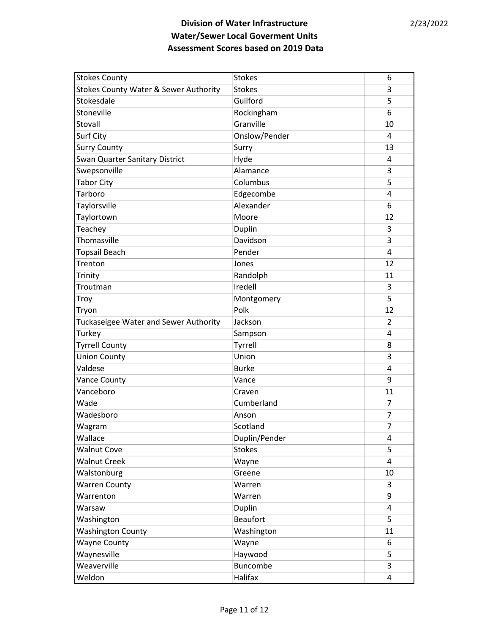| <b>Stokes County</b>                  | <b>Stokes</b>   | 6  |
|---------------------------------------|-----------------|----|
| Stokes County Water & Sewer Authority | <b>Stokes</b>   | 3  |
| Stokesdale                            | Guilford        | 5  |
| Stoneville                            | Rockingham      | 6  |
| Stovall                               | Granville       | 10 |
| <b>Surf City</b>                      | Onslow/Pender   | 4  |
| <b>Surry County</b>                   | Surry           | 13 |
| Swan Quarter Sanitary District        | Hyde            | 4  |
| Swepsonville                          | Alamance        | 3  |
| <b>Tabor City</b>                     | Columbus        | 5  |
| Tarboro                               | Edgecombe       | 4  |
| Taylorsville                          | Alexander       | 6  |
| Taylortown                            | Moore           | 12 |
| Teachey                               | Duplin          | 3  |
| Thomasville                           | Davidson        | 3  |
| <b>Topsail Beach</b>                  | Pender          | 4  |
| Trenton                               | Jones           | 12 |
| Trinity                               | Randolph        | 11 |
| Troutman                              | Iredell         | 3  |
| Troy                                  | Montgomery      | 5  |
| Tryon                                 | Polk            | 12 |
| Tuckaseigee Water and Sewer Authority | Jackson         | 2  |
| Turkey                                | Sampson         | 4  |
| <b>Tyrrell County</b>                 | Tyrrell         | 8  |
| <b>Union County</b>                   | Union           | 3  |
| Valdese                               | <b>Burke</b>    | 4  |
| <b>Vance County</b>                   | Vance           | 9  |
| Vanceboro                             | Craven          | 11 |
| Wade                                  | Cumberland      | 7  |
| Wadesboro                             | Anson           | 7  |
| Wagram                                | Scotland        | 7  |
| Wallace                               | Duplin/Pender   | 4  |
| <b>Walnut Cove</b>                    | <b>Stokes</b>   | 5  |
| <b>Walnut Creek</b>                   | Wayne           | 4  |
| Walstonburg                           | Greene          | 10 |
| <b>Warren County</b>                  | Warren          | 3  |
| Warrenton                             | Warren          | 9  |
| Warsaw                                | Duplin          | 4  |
| Washington                            | <b>Beaufort</b> | 5  |
| <b>Washington County</b>              | Washington      | 11 |
| <b>Wayne County</b>                   | Wayne           | 6  |
| Waynesville                           | Haywood         | 5  |
| Weaverville                           | Buncombe        | 3  |
| Weldon                                | Halifax         | 4  |